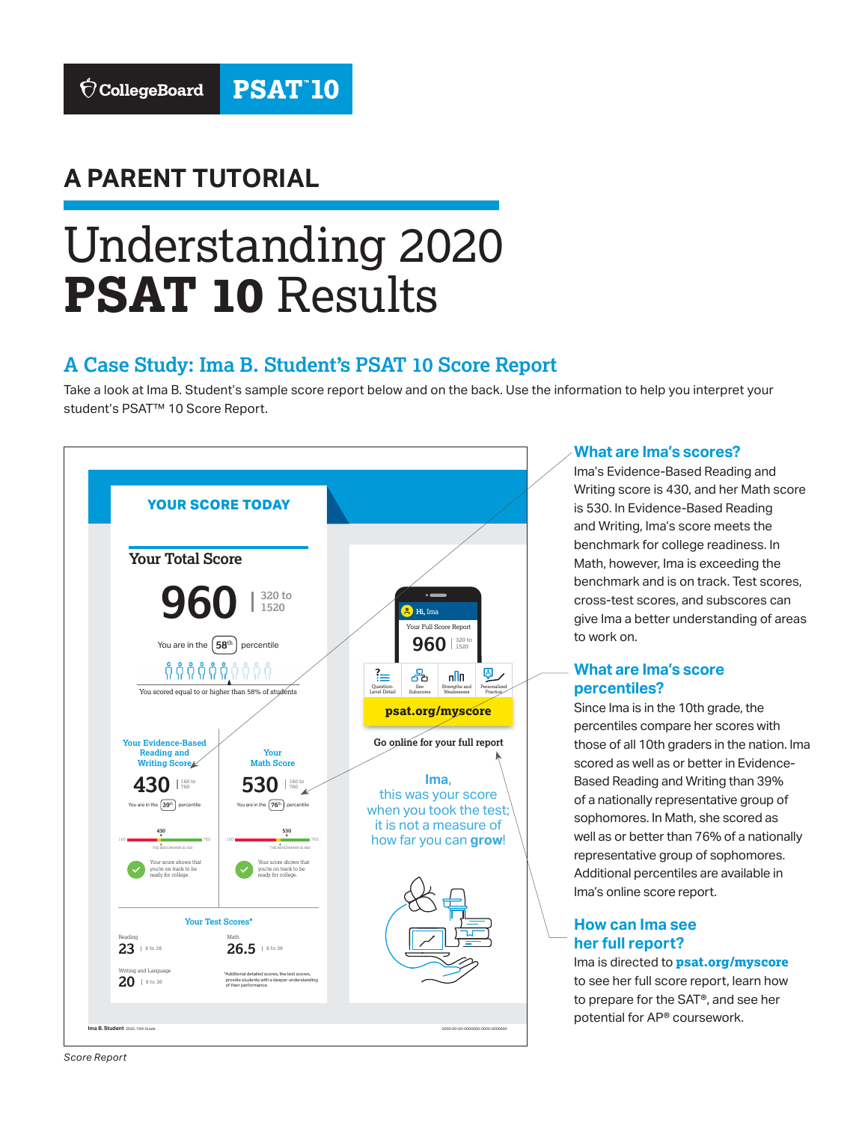## **A PARENT TUTORIAL**

# Understanding 2020 **PSAT 10** Results

### **A Case Study: Ima B. Student's PSAT 10 Score Report**

Take a look at Ima B. Student's sample score report below and on the back. Use the information to help you interpret your student's PSAT™ 10 Score Report.



#### **What are Ima's scores?**

Ima's Evidence-Based Reading and Writing score is 430, and her Math score is 530. In Evidence-Based Reading and Writing, Ima's score meets the benchmark for college readiness. In Math, however, Ima is exceeding the benchmark and is on track. Test scores, cross-test scores, and subscores can give Ima a better understanding of areas to work on.

#### **What are Ima's score percentiles?**

Since Ima is in the 10th grade, the percentiles compare her scores with those of all 10th graders in the nation. Ima scored as well as or better in Evidence-Based Reading and Writing than 39% of a nationally representative group of sophomores. In Math, she scored as well as or better than 76% of a nationally representative group of sophomores. Additional percentiles are available in Ima's online score report.

#### **How can Ima see her full report?**

Ima is directed to **[psat.org/myscore](http://psat.org/myscore)** to see her full score report, learn how to prepare for the SAT®, and see her potential for AP® coursework.

*Score Report*